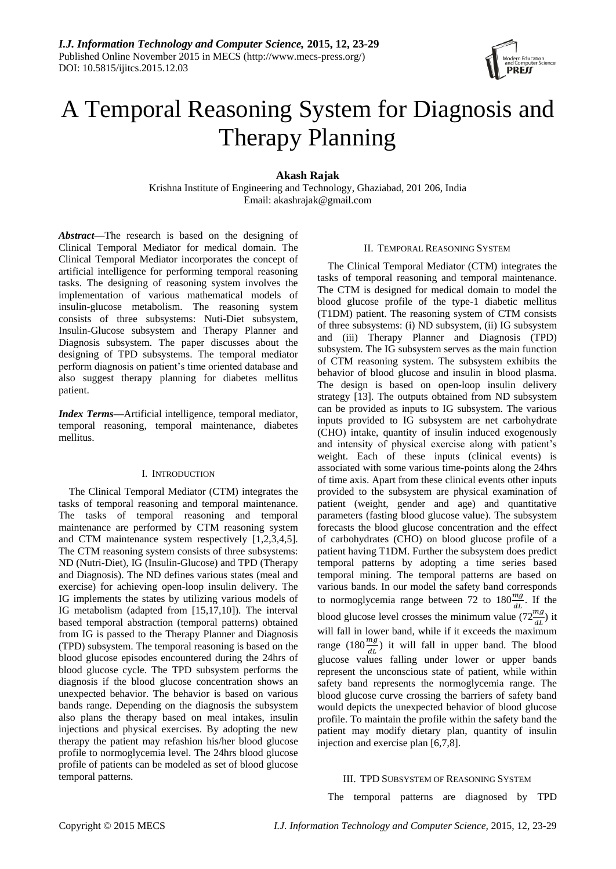

# A Temporal Reasoning System for Diagnosis and Therapy Planning

**Akash Rajak**

Krishna Institute of Engineering and Technology, Ghaziabad, 201 206, India Email: akashrajak@gmail.com

*Abstract—*The research is based on the designing of Clinical Temporal Mediator for medical domain. The Clinical Temporal Mediator incorporates the concept of artificial intelligence for performing temporal reasoning tasks. The designing of reasoning system involves the implementation of various mathematical models of insulin-glucose metabolism. The reasoning system consists of three subsystems: Nuti-Diet subsystem, Insulin-Glucose subsystem and Therapy Planner and Diagnosis subsystem. The paper discusses about the designing of TPD subsystems. The temporal mediator perform diagnosis on patient's time oriented database and also suggest therapy planning for diabetes mellitus patient.

*Index Terms—*Artificial intelligence, temporal mediator, temporal reasoning, temporal maintenance, diabetes mellitus.

# I. INTRODUCTION

The Clinical Temporal Mediator (CTM) integrates the tasks of temporal reasoning and temporal maintenance. The tasks of temporal reasoning and temporal maintenance are performed by CTM reasoning system and CTM maintenance system respectively [1,2,3,4,5]. The CTM reasoning system consists of three subsystems: ND (Nutri-Diet), IG (Insulin-Glucose) and TPD (Therapy and Diagnosis). The ND defines various states (meal and exercise) for achieving open-loop insulin delivery. The IG implements the states by utilizing various models of IG metabolism (adapted from [15,17,10]). The interval based temporal abstraction (temporal patterns) obtained from IG is passed to the Therapy Planner and Diagnosis (TPD) subsystem. The temporal reasoning is based on the blood glucose episodes encountered during the 24hrs of blood glucose cycle. The TPD subsystem performs the diagnosis if the blood glucose concentration shows an unexpected behavior. The behavior is based on various bands range. Depending on the diagnosis the subsystem also plans the therapy based on meal intakes, insulin injections and physical exercises. By adopting the new therapy the patient may refashion his/her blood glucose profile to normoglycemia level. The 24hrs blood glucose profile of patients can be modeled as set of blood glucose temporal patterns.

## II. TEMPORAL REASONING SYSTEM

The Clinical Temporal Mediator (CTM) integrates the tasks of temporal reasoning and temporal maintenance. The CTM is designed for medical domain to model the blood glucose profile of the type-1 diabetic mellitus (T1DM) patient. The reasoning system of CTM consists of three subsystems: (i) ND subsystem, (ii) IG subsystem and (iii) Therapy Planner and Diagnosis (TPD) subsystem. The IG subsystem serves as the main function of CTM reasoning system. The subsystem exhibits the behavior of blood glucose and insulin in blood plasma. The design is based on open-loop insulin delivery strategy [13]. The outputs obtained from ND subsystem can be provided as inputs to IG subsystem. The various inputs provided to IG subsystem are net carbohydrate (CHO) intake, quantity of insulin induced exogenously and intensity of physical exercise along with patient's weight. Each of these inputs (clinical events) is associated with some various time-points along the 24hrs of time axis. Apart from these clinical events other inputs provided to the subsystem are physical examination of patient (weight, gender and age) and quantitative parameters (fasting blood glucose value). The subsystem forecasts the blood glucose concentration and the effect of carbohydrates (CHO) on blood glucose profile of a patient having T1DM. Further the subsystem does predict temporal patterns by adopting a time series based temporal mining. The temporal patterns are based on various bands. In our model the safety band corresponds to normoglycemia range between 72 to  $180 \frac{mg}{dt}$ . If the blood glucose level crosses the minimum value  $(72 \frac{mg}{dt})$  it will fall in lower band, while if it exceeds the maximum range (180 $\frac{mg}{dt}$ ) it will fall in upper band. The blood glucose values falling under lower or upper bands represent the unconscious state of patient, while within safety band represents the normoglycemia range. The blood glucose curve crossing the barriers of safety band would depicts the unexpected behavior of blood glucose profile. To maintain the profile within the safety band the patient may modify dietary plan, quantity of insulin injection and exercise plan [6,7,8].

#### III. TPD SUBSYSTEM OF REASONING SYSTEM

The temporal patterns are diagnosed by TPD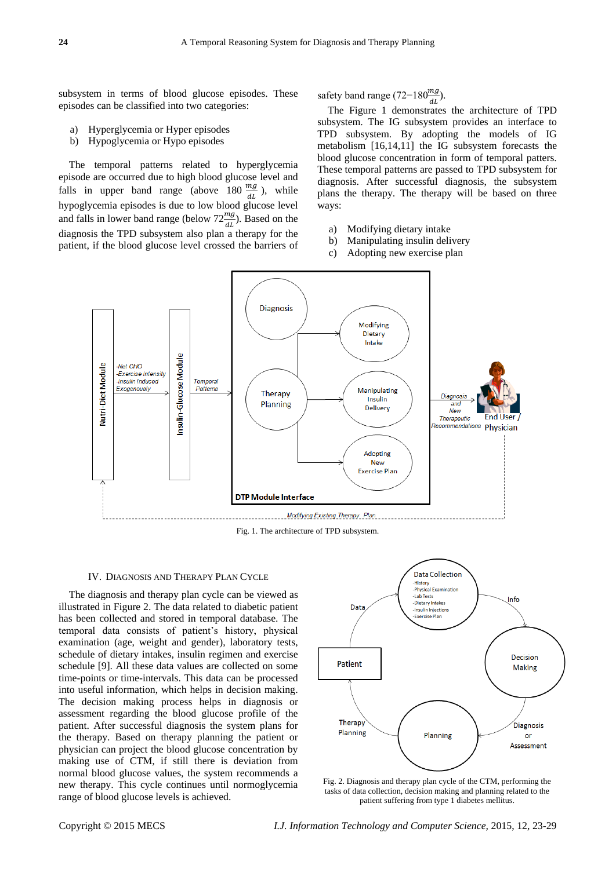subsystem in terms of blood glucose episodes. These episodes can be classified into two categories:

- a) Hyperglycemia or Hyper episodes
- b) Hypoglycemia or Hypo episodes

The temporal patterns related to hyperglycemia episode are occurred due to high blood glucose level and falls in upper band range (above 180  $\frac{mg}{dt}$ ), while hypoglycemia episodes is due to low blood glucose level and falls in lower band range (below  $72 \frac{mg}{dt}$ ). Based on the diagnosis the TPD subsystem also plan a therapy for the patient, if the blood glucose level crossed the barriers of

safety band range (72–180 $\frac{mg}{dL}$ ).

The Figure 1 demonstrates the architecture of TPD subsystem. The IG subsystem provides an interface to TPD subsystem. By adopting the models of IG metabolism [16,14,11] the IG subsystem forecasts the blood glucose concentration in form of temporal patters. These temporal patterns are passed to TPD subsystem for diagnosis. After successful diagnosis, the subsystem plans the therapy. The therapy will be based on three ways:

- a) Modifying dietary intake
- b) Manipulating insulin delivery
- c) Adopting new exercise plan



Fig. 1. The architecture of TPD subsystem.

#### IV. DIAGNOSIS AND THERAPY PLAN CYCLE

The diagnosis and therapy plan cycle can be viewed as illustrated in Figure 2. The data related to diabetic patient has been collected and stored in temporal database. The temporal data consists of patient's history, physical examination (age, weight and gender), laboratory tests, schedule of dietary intakes, insulin regimen and exercise schedule [9]. All these data values are collected on some time-points or time-intervals. This data can be processed into useful information, which helps in decision making. The decision making process helps in diagnosis or assessment regarding the blood glucose profile of the patient. After successful diagnosis the system plans for the therapy. Based on therapy planning the patient or physician can project the blood glucose concentration by making use of CTM, if still there is deviation from normal blood glucose values, the system recommends a new therapy. This cycle continues until normoglycemia range of blood glucose levels is achieved.



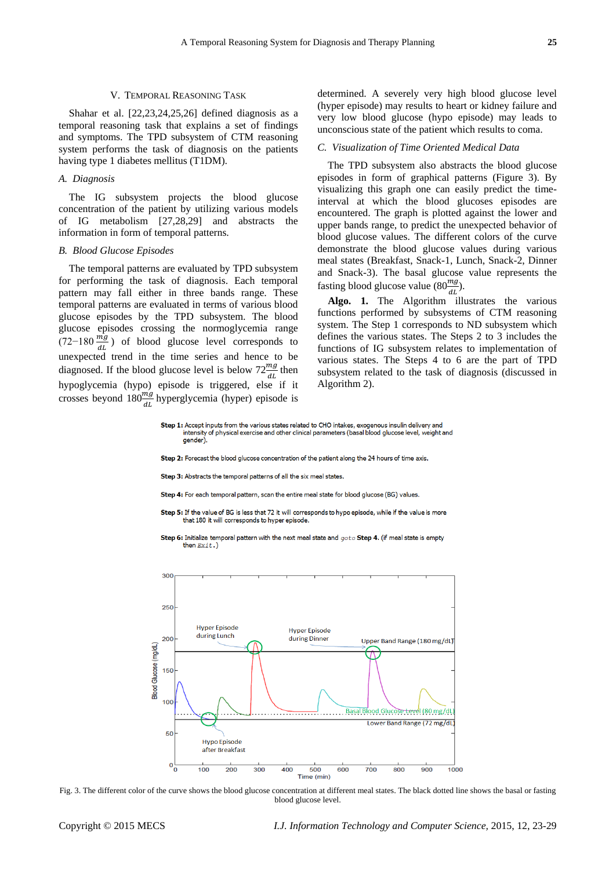### V. TEMPORAL REASONING TASK

Shahar et al. [22,23,24,25,26] defined diagnosis as a temporal reasoning task that explains a set of findings and symptoms. The TPD subsystem of CTM reasoning system performs the task of diagnosis on the patients having type 1 diabetes mellitus (T1DM).

#### *A. Diagnosis*

The IG subsystem projects the blood glucose concentration of the patient by utilizing various models of IG metabolism [27,28,29] and abstracts the information in form of temporal patterns.

#### *B. Blood Glucose Episodes*

The temporal patterns are evaluated by TPD subsystem for performing the task of diagnosis. Each temporal pattern may fall either in three bands range. These temporal patterns are evaluated in terms of various blood glucose episodes by the TPD subsystem. The blood glucose episodes crossing the normoglycemia range  $(72-180 \frac{m_g}{dL})$  of blood glucose level corresponds to unexpected trend in the time series and hence to be diagnosed. If the blood glucose level is below  $72 \frac{mg}{dt}$  then hypoglycemia (hypo) episode is triggered, else if it crosses beyond  $180 \frac{mg}{dL}$  hyperglycemia (hyper) episode is determined. A severely very high blood glucose level (hyper episode) may results to heart or kidney failure and very low blood glucose (hypo episode) may leads to unconscious state of the patient which results to coma.

## *C. Visualization of Time Oriented Medical Data*

The TPD subsystem also abstracts the blood glucose episodes in form of graphical patterns (Figure 3). By visualizing this graph one can easily predict the timeinterval at which the blood glucoses episodes are encountered. The graph is plotted against the lower and upper bands range, to predict the unexpected behavior of blood glucose values. The different colors of the curve demonstrate the blood glucose values during various meal states (Breakfast, Snack-1, Lunch, Snack-2, Dinner and Snack-3). The basal glucose value represents the fasting blood glucose value  $(80 \frac{mg}{dL})$ .

**Algo. 1.** The Algorithm illustrates the various functions performed by subsystems of CTM reasoning system. The Step 1 corresponds to ND subsystem which defines the various states. The Steps 2 to 3 includes the functions of IG subsystem relates to implementation of various states. The Steps 4 to 6 are the part of TPD subsystem related to the task of diagnosis (discussed in Algorithm 2).

Step 1: Accept inputs from the various states related to CHO intakes, exogenous insulin delivery and intensity of physical exercise and other clinical parameters (basal blood glucose level, weight and qender)

Step 2: Forecast the blood glucose concentration of the patient along the 24 hours of time axis.

Step 3: Abstracts the temporal patterns of all the six meal states.

Step 4: For each temporal pattern, scan the entire meal state for blood glucose (BG) values.

Step 5: If the value of BG is less that 72 it will corresponds to hypo episode, while if the value is more that 180 it will corresponds to hyper episode.

Step 6: Initialize temporal pattern with the next meal state and  $goto$  Step 4. (if meal state is empty then  $Exit.)$ 



Fig. 3. The different color of the curve shows the blood glucose concentration at different meal states. The black dotted line shows the basal or fasting blood glucose level.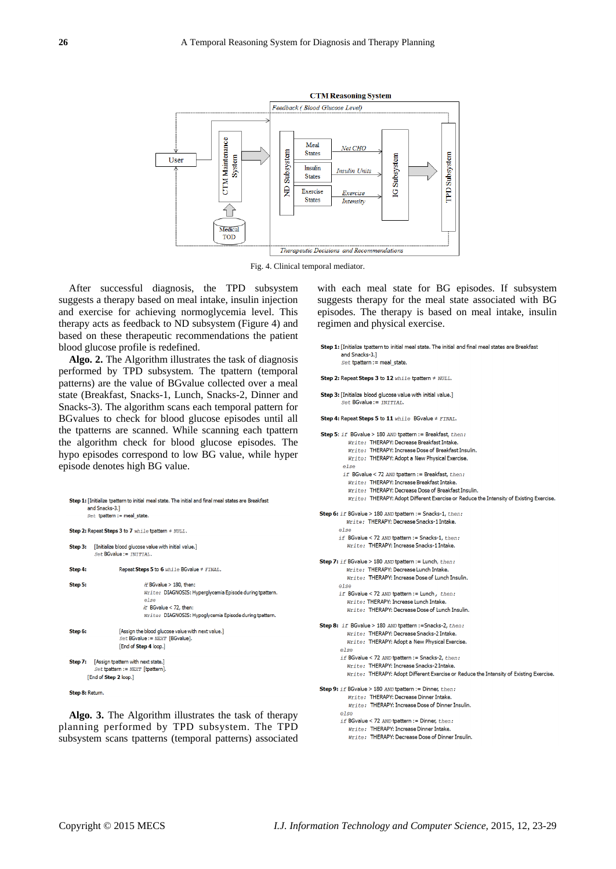

Fig. 4. Clinical temporal mediator.

After successful diagnosis, the TPD subsystem suggests a therapy based on meal intake, insulin injection and exercise for achieving normoglycemia level. This therapy acts as feedback to ND subsystem (Figure 4) and based on these therapeutic recommendations the patient blood glucose profile is redefined.

**Algo. 2.** The Algorithm illustrates the task of diagnosis performed by TPD subsystem. The tpattern (temporal patterns) are the value of BGvalue collected over a meal state (Breakfast, Snacks-1, Lunch, Snacks-2, Dinner and Snacks-3). The algorithm scans each temporal pattern for BGvalues to check for blood glucose episodes until all the tpatterns are scanned. While scanning each tpattern the algorithm check for blood glucose episodes. The hypo episodes correspond to low BG value, while hyper episode denotes high BG value.

```
Step 1: [Initialize tpattern to initial meal state. The initial and final meal states are Breakfast
        and Snacks-3.1
        Set tpattern := meal_stat
Step 2: Repeat Steps 3 to 7 while toattern \neq NUT.T.
Step 3: [Initialize blood glucose value with initial value.]
           Set BGvalue := INTIAL.
Step 4:
                      Repeat Steps 5 to 6 while BGvalue # FINAL.
                                 if BGvalue > 180. then:
Step 5:
                                 Write: DIAGNOSIS: Hyperalycemia Episode during tpattern.
                                 else
                                 if BGvalue < 72, then:
                                 Write: DIAGNOSIS: Hypoglycemia Episode during tpattern.
                      [Assign the blood glucose value with next value.]
Step 6:
                      Set BGvalue := NEXT [BGvalue].
                      [End of Step 4 loop.]
Step 7:
          [Assign tpattern with next state.]
             et tpattern := NEXT [tpattern].
        [End of Step 2 loop.]
```
Step 8: Return

**Algo. 3.** The Algorithm illustrates the task of therapy planning performed by TPD subsystem. The TPD subsystem scans tpatterns (temporal patterns) associated

with each meal state for BG episodes. If subsystem suggests therapy for the meal state associated with BG episodes. The therapy is based on meal intake, insulin regimen and physical exercise.

Step 1: [Initialize tpattern to initial meal state. The initial and final meal states are Breakfast and Snacks-3.]  $Set$  tpattern := meal sta

```
Step 2: Repeat Steps 3 to 12 while toattern # NULL
```

```
Step 3: [Initialize blood glucose value with initial value.]
         Set BGvalue := INITIAL.
```

```
Step 4: Repeat Steps 5 to 11 while BGvalue # FINAL.
```

```
Step 5: if BGvalue > 180 AND tpattern := Breakfast, then:
           Write: THERAPY: Decrease Breakfast Intake
           Write: THERAPY: Increase Dose of Breakfast Insulin
          Write: THERAPY: Adopt a New Physical Exercise.
         else
         if BGvalue < 72 AND tpattern := Breakfast, then:
          Write: THERAPY: Increase Breakfast Intake.
           Write: THERAPY: Decrease Dose of Breakfast Insulin.
           Write: THERAPY: Adopt Different Exercise or Reduce the Intensity of Existing Exercise.
Step 6: if BGvalue > 180 AND tpattern := Snacks-1, then:
          Write: THERAPY: Decrease Snacks-1 Intake
       else
       if BGvalue < 72 AND toattern := Snacks-1, then:
          Write: THERAPY: Increase Snacks-1 Intake.
Step 7: if BGvalue > 180 AND tpattern := Lunch, then:
          Write: THERAPY: Decrease Lunch Intake.
          Write: THERAPY: Increase Dose of Lunch Insulin
       else
       if BGvalue < 72 AND tpattern := Lunch, then:
          Write: THERAPY: Increase Lunch Intake
          Write: THERAPY: Decrease Dose of Lunch Insulin.
Step 8: if BGvalue > 180 AND tpattern := Snacks-2, then:
          Write: THERAPY: Decrease Spacks-2 Intake
          Write: THERAPY: Adopt a New Physical Exercise
        else
        if BGvalue < 72 AND tpattern := Snacks-2, then:
          Write: THERAPY: Increase Snacks-2 Intake.
          Write: THERAPY: Adopt Different Exercise or Reduce the Intensity of Existing Exercise.
Step 9: if BGvalue > 180 AND tpattern := Dinner, then:
          Write: THERAPY: Decrease Dinner Intake.
           Write: THERAPY: Increase Dose of Dinner Insulin.
        else
```

```
if BGvalue < 72 AND tpattern := Dinner, then:
```
Write: THERAPY: Increase Dinner Intake. Write: THERAPY: Decrease Dose of Dinner Insulin.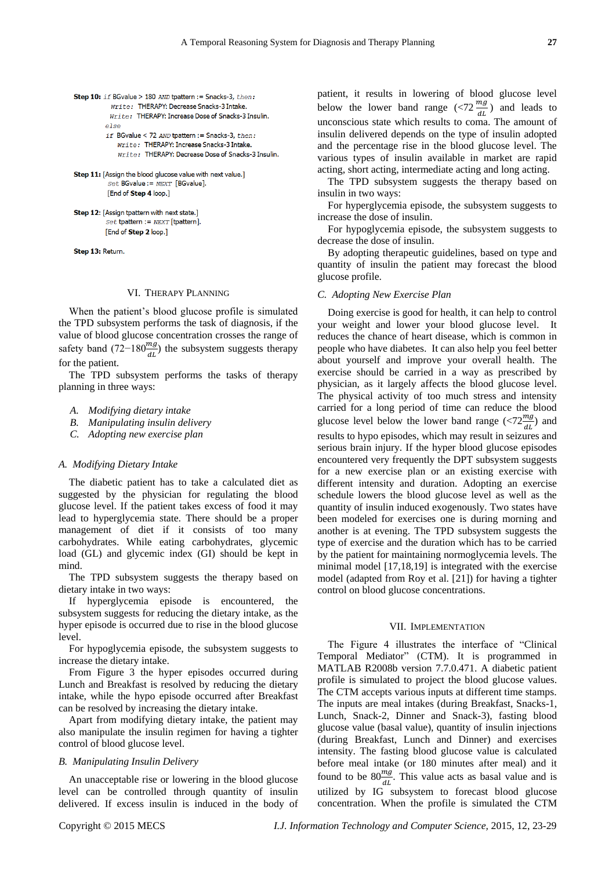```
Step 10: if BGvalue > 180 AND toattern := Snacks-3, then:
           Write: THERAPY: Decrease Snacks-3 Intake.
           Write: THERAPY: Increase Dose of Snacks-3 Insulin.
         else
         if BGvalue < 72 AND tpattern := Snacks-3, then:
             Write: THERAPY: Increase Snacks-3 Intake.
             Write: THERAPY: Decrease Dose of Snacks-3 Insulin.
```
Step 11: [Assign the blood glucose value with next value.]  $Set$  BGvalue :=  $NEXT$  [BGvalue]. [End of Step 4 loop.]

Step 12: [Assign thattern with next state.]  $Set$  tpattern :=  $NEXT$  [tpattern]. [End of Step 2 loop.]

Step 13: Return.

### VI. THERAPY PLANNING

When the patient's blood glucose profile is simulated the TPD subsystem performs the task of diagnosis, if the value of blood glucose concentration crosses the range of safety band (72–180 $\frac{mg}{dt}$ ) the subsystem suggests therapy for the patient.

The TPD subsystem performs the tasks of therapy planning in three ways:

- *A. Modifying dietary intake*
- *B. Manipulating insulin delivery*
- *C. Adopting new exercise plan*

#### *A. Modifying Dietary Intake*

The diabetic patient has to take a calculated diet as suggested by the physician for regulating the blood glucose level. If the patient takes excess of food it may lead to hyperglycemia state. There should be a proper management of diet if it consists of too many carbohydrates. While eating carbohydrates, glycemic load (GL) and glycemic index (GI) should be kept in mind.

The TPD subsystem suggests the therapy based on dietary intake in two ways:

If hyperglycemia episode is encountered, the subsystem suggests for reducing the dietary intake, as the hyper episode is occurred due to rise in the blood glucose level.

For hypoglycemia episode, the subsystem suggests to increase the dietary intake.

From Figure 3 the hyper episodes occurred during Lunch and Breakfast is resolved by reducing the dietary intake, while the hypo episode occurred after Breakfast can be resolved by increasing the dietary intake.

Apart from modifying dietary intake, the patient may also manipulate the insulin regimen for having a tighter control of blood glucose level.

# *B. Manipulating Insulin Delivery*

An unacceptable rise or lowering in the blood glucose level can be controlled through quantity of insulin delivered. If excess insulin is induced in the body of patient, it results in lowering of blood glucose level below the lower band range  $\left(\frac{5}{dL}\right)$  and leads to unconscious state which results to coma. The amount of insulin delivered depends on the type of insulin adopted and the percentage rise in the blood glucose level. The various types of insulin available in market are rapid acting, short acting, intermediate acting and long acting.

The TPD subsystem suggests the therapy based on insulin in two ways:

For hyperglycemia episode, the subsystem suggests to increase the dose of insulin.

For hypoglycemia episode, the subsystem suggests to decrease the dose of insulin.

By adopting therapeutic guidelines, based on type and quantity of insulin the patient may forecast the blood glucose profile.

#### *C. Adopting New Exercise Plan*

Doing exercise is good for health, it can help to control your weight and lower your blood glucose level. It reduces the chance of heart disease, which is common in people who have diabetes. It can also help you feel better about yourself and improve your overall health. The exercise should be carried in a way as prescribed by physician, as it largely affects the blood glucose level. The physical activity of too much stress and intensity carried for a long period of time can reduce the blood glucose level below the lower band range (<72 $\frac{mg}{dt}$ ) and results to hypo episodes, which may result in seizures and serious brain injury. If the hyper blood glucose episodes encountered very frequently the DPT subsystem suggests for a new exercise plan or an existing exercise with different intensity and duration. Adopting an exercise schedule lowers the blood glucose level as well as the quantity of insulin induced exogenously. Two states have been modeled for exercises one is during morning and another is at evening. The TPD subsystem suggests the type of exercise and the duration which has to be carried by the patient for maintaining normoglycemia levels. The minimal model [17,18,19] is integrated with the exercise model (adapted from Roy et al. [21]) for having a tighter control on blood glucose concentrations.

# VII. IMPLEMENTATION

The Figure 4 illustrates the interface of "Clinical Temporal Mediator" (CTM). It is programmed in MATLAB R2008b version 7.7.0.471. A diabetic patient profile is simulated to project the blood glucose values. The CTM accepts various inputs at different time stamps. The inputs are meal intakes (during Breakfast, Snacks-1, Lunch, Snack-2, Dinner and Snack-3), fasting blood glucose value (basal value), quantity of insulin injections (during Breakfast, Lunch and Dinner) and exercises intensity. The fasting blood glucose value is calculated before meal intake (or 180 minutes after meal) and it found to be  $80 \frac{mg}{dt}$ . This value acts as basal value and is utilized by IG subsystem to forecast blood glucose concentration. When the profile is simulated the CTM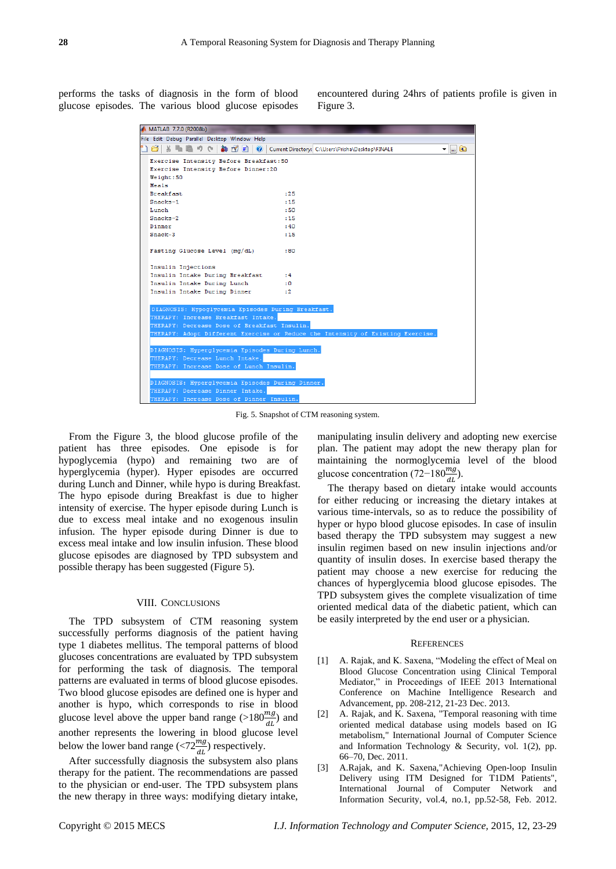performs the tasks of diagnosis in the form of blood glucose episodes. The various blood glucose episodes

encountered during 24hrs of patients profile is given in Figure 3.

|                                              | <b>A MATLAB 7.7.0 (R2008b)</b>                                                  |              |
|----------------------------------------------|---------------------------------------------------------------------------------|--------------|
| File Edit Debug Parallel Desktop Window Help |                                                                                 |              |
|                                              | al M<br>Current Directory: C:\Users\Prisha\Desktop\FINALE<br>$\bullet$          | 面<br>m.<br>▼ |
|                                              | Exercise Intensity Before Breakfast: 50                                         |              |
|                                              | Exercise Intensity Before Dinner:20                                             |              |
|                                              | Weight: 50                                                                      |              |
|                                              | Meals                                                                           |              |
|                                              | <b>Breakfast</b><br>: 25                                                        |              |
|                                              | Snacks-1<br>:15                                                                 |              |
|                                              | Lunch<br>:50                                                                    |              |
|                                              | Snacks-2<br>:15                                                                 |              |
|                                              | Dinner<br>: 40                                                                  |              |
|                                              | $Snack-3$<br>:15                                                                |              |
|                                              | Fasting Glucose Level (mg/dL)<br>:80                                            |              |
|                                              | Insulin Injections                                                              |              |
|                                              | Insulin Intake During Breakfast<br>:4                                           |              |
|                                              | Insulin Intake During Lunch<br>۰٥.                                              |              |
|                                              | Insulin Intake During Dinner<br>: 2                                             |              |
|                                              |                                                                                 |              |
|                                              | DIAGNOSIS: Hypoglycemia Episodes During Breakfast.                              |              |
|                                              | THERAPY: Increase Breakfast Intake.                                             |              |
|                                              | THERAPY: Decrease Dose of Breakfast Insulin.                                    |              |
|                                              | THERAPY: Adopt Different Exercise or Reduce the Intensity of Existing Exercise. |              |
|                                              |                                                                                 |              |
|                                              | DIAGNOSIS: Hyperglycemia Episodes During Lunch.                                 |              |
|                                              | THERAPY: Decrease Lunch Intake.                                                 |              |
|                                              | THERAPY: Increase Dose of Lunch Insulin.                                        |              |
|                                              |                                                                                 |              |
|                                              | DIAGNOSIS: Hyperglycemia Episodes During Dinner.                                |              |
|                                              | THERAPY: Decrease Dinner Intake.                                                |              |
|                                              | THERAPY: Increase Dose of Dinner Insulin.                                       |              |

Fig. 5. Snapshot of CTM reasoning system.

From the Figure 3, the blood glucose profile of the patient has three episodes. One episode is for hypoglycemia (hypo) and remaining two are of hyperglycemia (hyper). Hyper episodes are occurred during Lunch and Dinner, while hypo is during Breakfast. The hypo episode during Breakfast is due to higher intensity of exercise. The hyper episode during Lunch is due to excess meal intake and no exogenous insulin infusion. The hyper episode during Dinner is due to excess meal intake and low insulin infusion. These blood glucose episodes are diagnosed by TPD subsystem and possible therapy has been suggested (Figure 5).

# VIII. CONCLUSIONS

The TPD subsystem of CTM reasoning system successfully performs diagnosis of the patient having type 1 diabetes mellitus. The temporal patterns of blood glucoses concentrations are evaluated by TPD subsystem for performing the task of diagnosis. The temporal patterns are evaluated in terms of blood glucose episodes. Two blood glucose episodes are defined one is hyper and another is hypo, which corresponds to rise in blood glucose level above the upper band range (>180 $\frac{mg}{dt}$ ) and another represents the lowering in blood glucose level below the lower band range (<72 $\frac{mg}{dt}$ ) respectively.

After successfully diagnosis the subsystem also plans therapy for the patient. The recommendations are passed to the physician or end-user. The TPD subsystem plans the new therapy in three ways: modifying dietary intake, manipulating insulin delivery and adopting new exercise plan. The patient may adopt the new therapy plan for maintaining the normoglycemia level of the blood glucose concentration (72–180 $\frac{mg}{dL}$ ).

The therapy based on dietary intake would accounts for either reducing or increasing the dietary intakes at various time-intervals, so as to reduce the possibility of hyper or hypo blood glucose episodes. In case of insulin based therapy the TPD subsystem may suggest a new insulin regimen based on new insulin injections and/or quantity of insulin doses. In exercise based therapy the patient may choose a new exercise for reducing the chances of hyperglycemia blood glucose episodes. The TPD subsystem gives the complete visualization of time oriented medical data of the diabetic patient, which can be easily interpreted by the end user or a physician.

# **REFERENCES**

- [1] A. Rajak, and K. Saxena, "Modeling the effect of Meal on Blood Glucose Concentration using Clinical Temporal Mediator," in Proceedings of IEEE 2013 International Conference on Machine Intelligence Research and Advancement, pp. 208-212, 21-23 Dec. 2013.
- [2] A. Rajak, and K. Saxena, "Temporal reasoning with time oriented medical database using models based on IG metabolism," International Journal of Computer Science and Information Technology & Security, vol. 1(2), pp. 66–70, Dec. 2011.
- [3] A.Rajak, and K. Saxena,"Achieving Open-loop Insulin Delivery using ITM Designed for T1DM Patients", International Journal of Computer Network and Information Security, vol.4, no.1, pp.52-58, Feb. 2012.